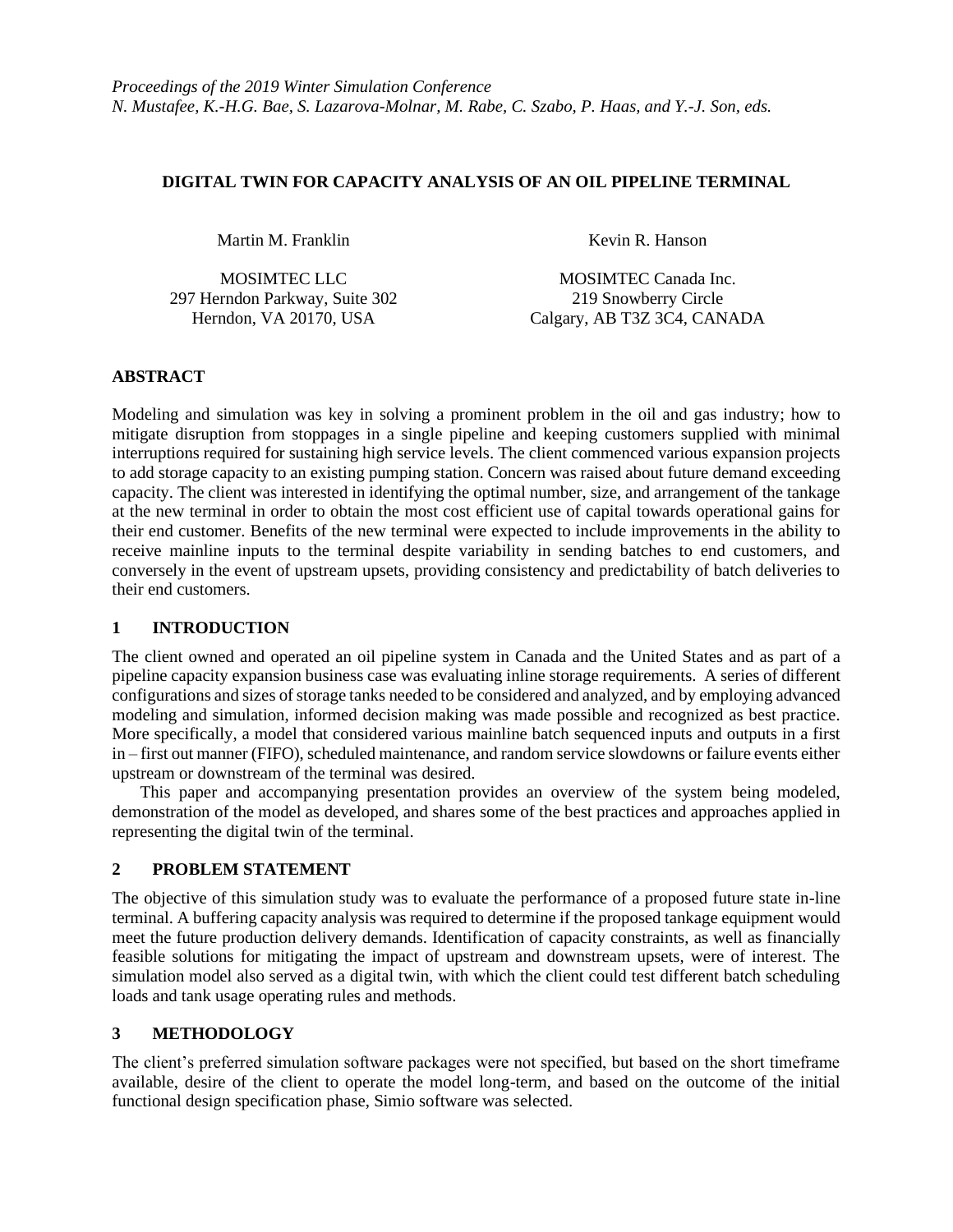#### **DIGITAL TWIN FOR CAPACITY ANALYSIS OF AN OIL PIPELINE TERMINAL**

Martin M. Franklin Kevin R. Hanson

297 Herndon Parkway, Suite 302 219 Snowberry Circle

MOSIMTEC LLC MOSIMTEC Canada Inc. Herndon, VA 20170, USA Calgary, AB T3Z 3C4, CANADA

# **ABSTRACT**

Modeling and simulation was key in solving a prominent problem in the oil and gas industry; how to mitigate disruption from stoppages in a single pipeline and keeping customers supplied with minimal interruptions required for sustaining high service levels. The client commenced various expansion projects to add storage capacity to an existing pumping station. Concern was raised about future demand exceeding capacity. The client was interested in identifying the optimal number, size, and arrangement of the tankage at the new terminal in order to obtain the most cost efficient use of capital towards operational gains for their end customer. Benefits of the new terminal were expected to include improvements in the ability to receive mainline inputs to the terminal despite variability in sending batches to end customers, and conversely in the event of upstream upsets, providing consistency and predictability of batch deliveries to their end customers.

# **1 INTRODUCTION**

The client owned and operated an oil pipeline system in Canada and the United States and as part of a pipeline capacity expansion business case was evaluating inline storage requirements. A series of different configurations and sizes of storage tanks needed to be considered and analyzed, and by employing advanced modeling and simulation, informed decision making was made possible and recognized as best practice. More specifically, a model that considered various mainline batch sequenced inputs and outputs in a first in – first out manner (FIFO), scheduled maintenance, and random service slowdowns or failure events either upstream or downstream of the terminal was desired.

This paper and accompanying presentation provides an overview of the system being modeled, demonstration of the model as developed, and shares some of the best practices and approaches applied in representing the digital twin of the terminal.

# **2 PROBLEM STATEMENT**

The objective of this simulation study was to evaluate the performance of a proposed future state in-line terminal. A buffering capacity analysis was required to determine if the proposed tankage equipment would meet the future production delivery demands. Identification of capacity constraints, as well as financially feasible solutions for mitigating the impact of upstream and downstream upsets, were of interest. The simulation model also served as a digital twin, with which the client could test different batch scheduling loads and tank usage operating rules and methods.

# **3 METHODOLOGY**

The client's preferred simulation software packages were not specified, but based on the short timeframe available, desire of the client to operate the model long-term, and based on the outcome of the initial functional design specification phase, Simio software was selected.